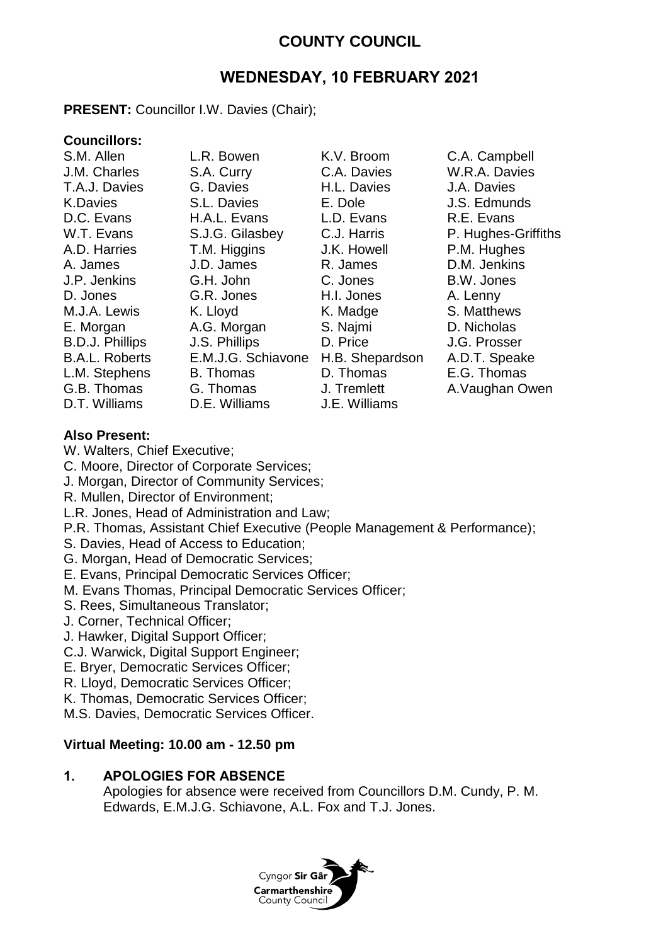# **COUNTY COUNCIL**

# **WEDNESDAY, 10 FEBRUARY 2021**

## **PRESENT:** Councillor I.W. Davies (Chair);

## **Councillors:**

S.M. Allen L.R. Bowen K.V. Broom C.A. Campbell J.M. Charles S.A. Curry C.A. Davies W.R.A. Davies T.A.J. Davies G. Davies H.L. Davies J.A. Davies K.Davies S.L. Davies E. Dole J.S. Edmunds D.C. Evans H.A.L. Evans L.D. Evans R.E. Evans A.D. Harries T.M. Higgins J.K. Howell P.M. Hughes A. James J.D. James R. James D.M. Jenkins J.P. Jenkins G.H. John C. Jones B.W. Jones D. Jones G.R. Jones H.I. Jones A. Lenny M.J.A. Lewis K. Lloyd K. Madge S. Matthews E. Morgan A.G. Morgan S. Najmi D. Nicholas B.D.J. Phillips J.S. Phillips D. Price J.G. Prosser B.A.L. Roberts E.M.J.G. Schiavone H.B. Shepardson A.D.T. Speake L.M. Stephens B. Thomas D. Thomas E.G. Thomas G.B. Thomas G. Thomas J. Tremlett A.Vaughan Owen D.T. Williams D.E. Williams J.E. Williams

W.T. Evans S.J.G. Gilasbey C.J. Harris P. Hughes-Griffiths

## **Also Present:**

- W. Walters, Chief Executive;
- C. Moore, Director of Corporate Services;
- J. Morgan, Director of Community Services;
- R. Mullen, Director of Environment;
- L.R. Jones, Head of Administration and Law;
- P.R. Thomas, Assistant Chief Executive (People Management & Performance);
- S. Davies, Head of Access to Education;
- G. Morgan, Head of Democratic Services;
- E. Evans, Principal Democratic Services Officer;
- M. Evans Thomas, Principal Democratic Services Officer;
- S. Rees, Simultaneous Translator;
- J. Corner, Technical Officer;
- J. Hawker, Digital Support Officer;
- C.J. Warwick, Digital Support Engineer;
- E. Bryer, Democratic Services Officer;
- R. Lloyd, Democratic Services Officer;
- K. Thomas, Democratic Services Officer;
- M.S. Davies, Democratic Services Officer.

## **Virtual Meeting: 10.00 am - 12.50 pm**

## **1. APOLOGIES FOR ABSENCE**

Apologies for absence were received from Councillors D.M. Cundy, P. M. Edwards, E.M.J.G. Schiavone, A.L. Fox and T.J. Jones.

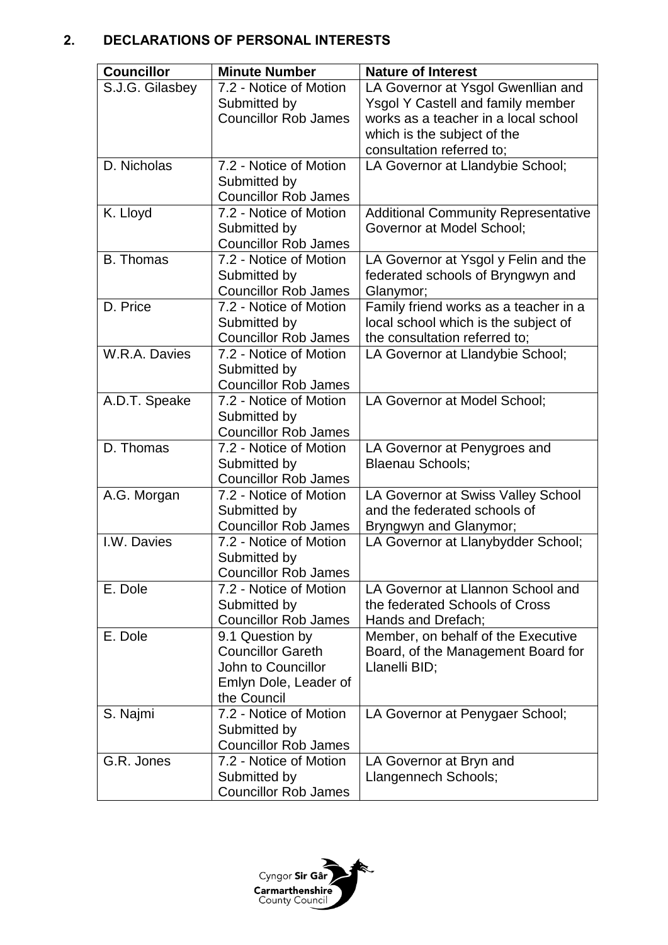## **2. DECLARATIONS OF PERSONAL INTERESTS**

| <b>Councillor</b> | <b>Minute Number</b>                                  | <b>Nature of Interest</b>                                                 |
|-------------------|-------------------------------------------------------|---------------------------------------------------------------------------|
| S.J.G. Gilasbey   | 7.2 - Notice of Motion                                | LA Governor at Ysgol Gwenllian and                                        |
|                   | Submitted by                                          | <b>Ysgol Y Castell and family member</b>                                  |
|                   | <b>Councillor Rob James</b>                           | works as a teacher in a local school                                      |
|                   |                                                       | which is the subject of the                                               |
|                   |                                                       | consultation referred to;                                                 |
| D. Nicholas       | 7.2 - Notice of Motion                                | LA Governor at Llandybie School;                                          |
|                   | Submitted by                                          |                                                                           |
|                   | <b>Councillor Rob James</b>                           |                                                                           |
| K. Lloyd          | 7.2 - Notice of Motion                                | <b>Additional Community Representative</b>                                |
|                   | Submitted by<br><b>Councillor Rob James</b>           | <b>Governor at Model School;</b>                                          |
| <b>B.</b> Thomas  | 7.2 - Notice of Motion                                |                                                                           |
|                   | Submitted by                                          | LA Governor at Ysgol y Felin and the<br>federated schools of Bryngwyn and |
|                   | <b>Councillor Rob James</b>                           | Glanymor;                                                                 |
| D. Price          | 7.2 - Notice of Motion                                | Family friend works as a teacher in a                                     |
|                   | Submitted by                                          | local school which is the subject of                                      |
|                   | <b>Councillor Rob James</b>                           | the consultation referred to;                                             |
| W.R.A. Davies     | 7.2 - Notice of Motion                                | LA Governor at Llandybie School;                                          |
|                   | Submitted by                                          |                                                                           |
|                   | <b>Councillor Rob James</b>                           |                                                                           |
| A.D.T. Speake     | 7.2 - Notice of Motion                                | LA Governor at Model School;                                              |
|                   | Submitted by                                          |                                                                           |
|                   | <b>Councillor Rob James</b>                           |                                                                           |
| D. Thomas         | 7.2 - Notice of Motion                                | LA Governor at Penygroes and                                              |
|                   | Submitted by                                          | <b>Blaenau Schools;</b>                                                   |
|                   | <b>Councillor Rob James</b>                           |                                                                           |
| A.G. Morgan       | 7.2 - Notice of Motion                                | LA Governor at Swiss Valley School                                        |
|                   | Submitted by                                          | and the federated schools of                                              |
| I.W. Davies       | <b>Councillor Rob James</b><br>7.2 - Notice of Motion | Bryngwyn and Glanymor;                                                    |
|                   | Submitted by                                          | LA Governor at Llanybydder School;                                        |
|                   | <b>Councillor Rob James</b>                           |                                                                           |
| E. Dole           | 7.2 - Notice of Motion                                | LA Governor at Llannon School and                                         |
|                   | Submitted by                                          | the federated Schools of Cross                                            |
|                   | <b>Councillor Rob James</b>                           | Hands and Drefach;                                                        |
| E. Dole           | 9.1 Question by                                       | Member, on behalf of the Executive                                        |
|                   | <b>Councillor Gareth</b>                              | Board, of the Management Board for                                        |
|                   | John to Councillor                                    | Llanelli BID;                                                             |
|                   | Emlyn Dole, Leader of                                 |                                                                           |
|                   | the Council                                           |                                                                           |
| S. Najmi          | 7.2 - Notice of Motion                                | LA Governor at Penygaer School;                                           |
|                   | Submitted by                                          |                                                                           |
|                   | <b>Councillor Rob James</b>                           |                                                                           |
| G.R. Jones        | 7.2 - Notice of Motion                                | LA Governor at Bryn and                                                   |
|                   | Submitted by                                          | Llangennech Schools;                                                      |
|                   | <b>Councillor Rob James</b>                           |                                                                           |

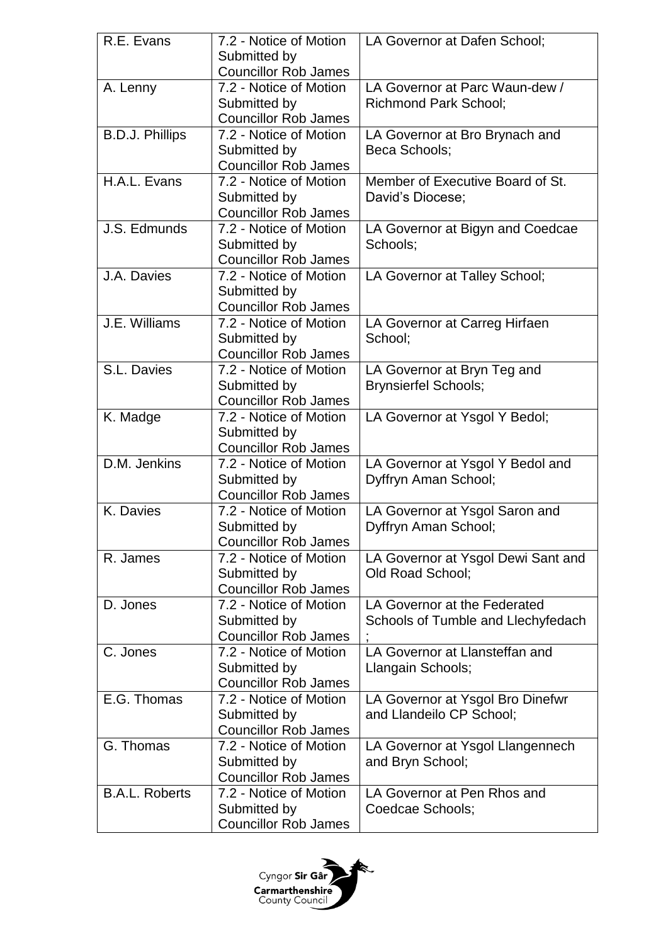| R.E. Evans             | 7.2 - Notice of Motion<br>Submitted by<br><b>Councillor Rob James</b> | LA Governor at Dafen School:                                       |
|------------------------|-----------------------------------------------------------------------|--------------------------------------------------------------------|
| A. Lenny               | 7.2 - Notice of Motion<br>Submitted by<br><b>Councillor Rob James</b> | LA Governor at Parc Waun-dew /<br><b>Richmond Park School;</b>     |
| <b>B.D.J. Phillips</b> | 7.2 - Notice of Motion<br>Submitted by<br><b>Councillor Rob James</b> | LA Governor at Bro Brynach and<br>Beca Schools;                    |
| H.A.L. Evans           | 7.2 - Notice of Motion<br>Submitted by<br><b>Councillor Rob James</b> | Member of Executive Board of St.<br>David's Diocese;               |
| J.S. Edmunds           | 7.2 - Notice of Motion<br>Submitted by<br><b>Councillor Rob James</b> | LA Governor at Bigyn and Coedcae<br>Schools;                       |
| J.A. Davies            | 7.2 - Notice of Motion<br>Submitted by<br><b>Councillor Rob James</b> | LA Governor at Talley School;                                      |
| J.E. Williams          | 7.2 - Notice of Motion<br>Submitted by<br><b>Councillor Rob James</b> | LA Governor at Carreg Hirfaen<br>School:                           |
| S.L. Davies            | 7.2 - Notice of Motion<br>Submitted by<br><b>Councillor Rob James</b> | LA Governor at Bryn Teg and<br><b>Brynsierfel Schools;</b>         |
| K. Madge               | 7.2 - Notice of Motion<br>Submitted by<br><b>Councillor Rob James</b> | LA Governor at Ysgol Y Bedol;                                      |
| D.M. Jenkins           | 7.2 - Notice of Motion<br>Submitted by<br><b>Councillor Rob James</b> | LA Governor at Ysgol Y Bedol and<br>Dyffryn Aman School;           |
| K. Davies              | 7.2 - Notice of Motion<br>Submitted by<br><b>Councillor Rob James</b> | LA Governor at Ysgol Saron and<br>Dyffryn Aman School;             |
| R. James               | 7.2 - Notice of Motion<br>Submitted by<br><b>Councillor Rob James</b> | LA Governor at Ysgol Dewi Sant and<br><b>Old Road School:</b>      |
| D. Jones               | 7.2 - Notice of Motion<br>Submitted by<br><b>Councillor Rob James</b> | LA Governor at the Federated<br>Schools of Tumble and Llechyfedach |
| C. Jones               | 7.2 - Notice of Motion<br>Submitted by<br><b>Councillor Rob James</b> | LA Governor at Llansteffan and<br>Llangain Schools;                |
| E.G. Thomas            | 7.2 - Notice of Motion<br>Submitted by<br><b>Councillor Rob James</b> | LA Governor at Ysgol Bro Dinefwr<br>and Llandeilo CP School;       |
| G. Thomas              | 7.2 - Notice of Motion<br>Submitted by<br><b>Councillor Rob James</b> | LA Governor at Ysgol Llangennech<br>and Bryn School;               |
| <b>B.A.L. Roberts</b>  | 7.2 - Notice of Motion<br>Submitted by<br><b>Councillor Rob James</b> | LA Governor at Pen Rhos and<br>Coedcae Schools;                    |

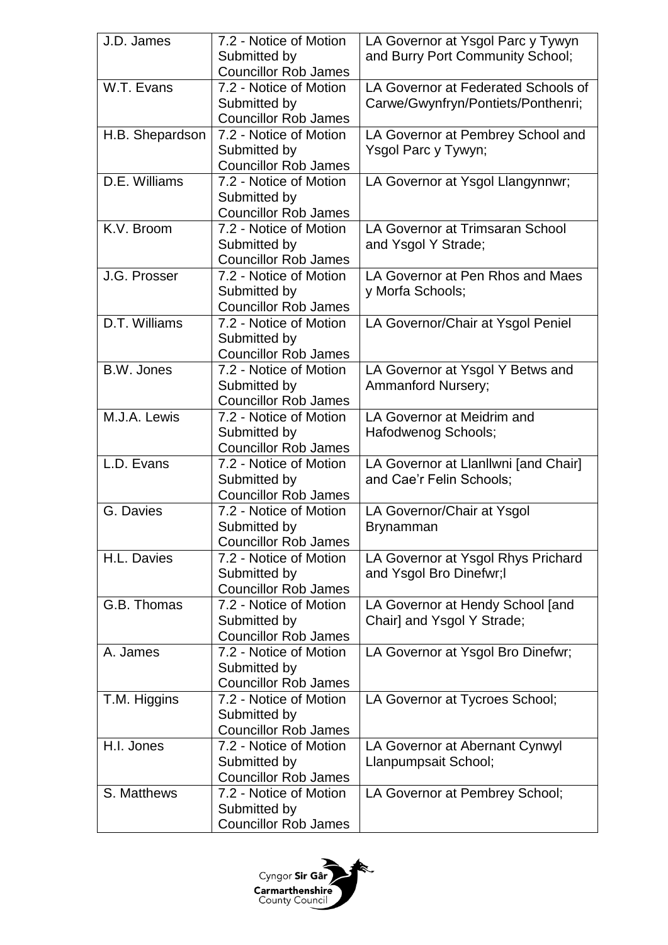| J.D. James      | 7.2 - Notice of Motion                                | LA Governor at Ysgol Parc y Tywyn    |
|-----------------|-------------------------------------------------------|--------------------------------------|
|                 | Submitted by                                          | and Burry Port Community School;     |
|                 | <b>Councillor Rob James</b>                           |                                      |
| W.T. Evans      | 7.2 - Notice of Motion                                | LA Governor at Federated Schools of  |
|                 | Submitted by                                          | Carwe/Gwynfryn/Pontiets/Ponthenri;   |
|                 | <b>Councillor Rob James</b>                           |                                      |
| H.B. Shepardson | 7.2 - Notice of Motion                                | LA Governor at Pembrey School and    |
|                 | Submitted by                                          | Ysgol Parc y Tywyn;                  |
|                 | <b>Councillor Rob James</b>                           |                                      |
| D.E. Williams   | 7.2 - Notice of Motion                                | LA Governor at Ysgol Llangynnwr;     |
|                 | Submitted by                                          |                                      |
|                 | <b>Councillor Rob James</b>                           |                                      |
| K.V. Broom      | 7.2 - Notice of Motion                                | LA Governor at Trimsaran School      |
|                 | Submitted by                                          | and Ysgol Y Strade;                  |
|                 | <b>Councillor Rob James</b>                           |                                      |
| J.G. Prosser    | 7.2 - Notice of Motion                                | LA Governor at Pen Rhos and Maes     |
|                 | Submitted by                                          | y Morfa Schools;                     |
|                 | <b>Councillor Rob James</b>                           |                                      |
| D.T. Williams   | 7.2 - Notice of Motion                                | LA Governor/Chair at Ysgol Peniel    |
|                 | Submitted by                                          |                                      |
|                 | <b>Councillor Rob James</b>                           |                                      |
| B.W. Jones      | 7.2 - Notice of Motion                                | LA Governor at Ysgol Y Betws and     |
|                 | Submitted by                                          | <b>Ammanford Nursery;</b>            |
| M.J.A. Lewis    | <b>Councillor Rob James</b><br>7.2 - Notice of Motion | LA Governor at Meidrim and           |
|                 |                                                       |                                      |
|                 | Submitted by<br><b>Councillor Rob James</b>           | Hafodwenog Schools;                  |
| L.D. Evans      | 7.2 - Notice of Motion                                | LA Governor at Llanllwni [and Chair] |
|                 | Submitted by                                          | and Cae'r Felin Schools;             |
|                 | <b>Councillor Rob James</b>                           |                                      |
| G. Davies       | 7.2 - Notice of Motion                                | LA Governor/Chair at Ysgol           |
|                 | Submitted by                                          | <b>Brynamman</b>                     |
|                 | <b>Councillor Rob James</b>                           |                                      |
| H.L. Davies     | 7.2 - Notice of Motion                                | LA Governor at Ysgol Rhys Prichard   |
|                 | Submitted by                                          | and Ysgol Bro Dinefwr;I              |
|                 | <b>Councillor Rob James</b>                           |                                      |
| G.B. Thomas     | 7.2 - Notice of Motion                                | LA Governor at Hendy School [and     |
|                 | Submitted by                                          | Chair] and Ysgol Y Strade;           |
|                 | <b>Councillor Rob James</b>                           |                                      |
| A. James        | 7.2 - Notice of Motion                                | LA Governor at Ysgol Bro Dinefwr;    |
|                 | Submitted by                                          |                                      |
|                 | <b>Councillor Rob James</b>                           |                                      |
| T.M. Higgins    | 7.2 - Notice of Motion                                | LA Governor at Tycroes School;       |
|                 | Submitted by                                          |                                      |
|                 | <b>Councillor Rob James</b>                           |                                      |
| H.I. Jones      | 7.2 - Notice of Motion                                | LA Governor at Abernant Cynwyl       |
|                 | Submitted by                                          | Llanpumpsait School;                 |
|                 | <b>Councillor Rob James</b>                           |                                      |
| S. Matthews     | 7.2 - Notice of Motion                                | LA Governor at Pembrey School;       |
|                 | Submitted by                                          |                                      |
|                 | <b>Councillor Rob James</b>                           |                                      |

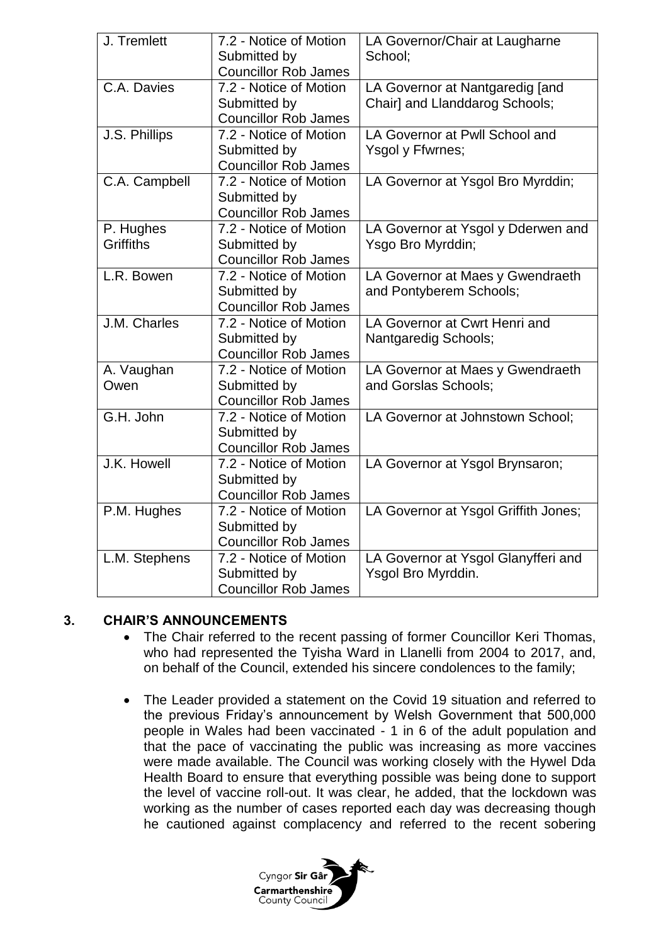| J. Tremlett                   | 7.2 - Notice of Motion<br>Submitted by<br><b>Councillor Rob James</b> | LA Governor/Chair at Laugharne<br>School;                         |
|-------------------------------|-----------------------------------------------------------------------|-------------------------------------------------------------------|
| C.A. Davies                   | 7.2 - Notice of Motion<br>Submitted by<br><b>Councillor Rob James</b> | LA Governor at Nantgaredig [and<br>Chair] and Llanddarog Schools; |
| J.S. Phillips                 | 7.2 - Notice of Motion<br>Submitted by<br><b>Councillor Rob James</b> | LA Governor at Pwll School and<br>Ysgol y Ffwrnes;                |
| C.A. Campbell                 | 7.2 - Notice of Motion<br>Submitted by<br><b>Councillor Rob James</b> | LA Governor at Ysgol Bro Myrddin;                                 |
| P. Hughes<br><b>Griffiths</b> | 7.2 - Notice of Motion<br>Submitted by<br><b>Councillor Rob James</b> | LA Governor at Ysgol y Dderwen and<br>Ysgo Bro Myrddin;           |
| L.R. Bowen                    | 7.2 - Notice of Motion<br>Submitted by<br><b>Councillor Rob James</b> | LA Governor at Maes y Gwendraeth<br>and Pontyberem Schools;       |
| J.M. Charles                  | 7.2 - Notice of Motion<br>Submitted by<br><b>Councillor Rob James</b> | LA Governor at Cwrt Henri and<br>Nantgaredig Schools;             |
| A. Vaughan<br>Owen            | 7.2 - Notice of Motion<br>Submitted by<br><b>Councillor Rob James</b> | LA Governor at Maes y Gwendraeth<br>and Gorslas Schools;          |
| G.H. John                     | 7.2 - Notice of Motion<br>Submitted by<br><b>Councillor Rob James</b> | LA Governor at Johnstown School;                                  |
| J.K. Howell                   | 7.2 - Notice of Motion<br>Submitted by<br><b>Councillor Rob James</b> | LA Governor at Ysgol Brynsaron;                                   |
| P.M. Hughes                   | 7.2 - Notice of Motion<br>Submitted by<br><b>Councillor Rob James</b> | LA Governor at Ysgol Griffith Jones;                              |
| L.M. Stephens                 | 7.2 - Notice of Motion<br>Submitted by<br><b>Councillor Rob James</b> | LA Governor at Ysgol Glanyfferi and<br>Ysgol Bro Myrddin.         |

## **3. CHAIR'S ANNOUNCEMENTS**

- The Chair referred to the recent passing of former Councillor Keri Thomas, who had represented the Tyisha Ward in Llanelli from 2004 to 2017, and, on behalf of the Council, extended his sincere condolences to the family;
- The Leader provided a statement on the Covid 19 situation and referred to the previous Friday's announcement by Welsh Government that 500,000 people in Wales had been vaccinated - 1 in 6 of the adult population and that the pace of vaccinating the public was increasing as more vaccines were made available. The Council was working closely with the Hywel Dda Health Board to ensure that everything possible was being done to support the level of vaccine roll-out. It was clear, he added, that the lockdown was working as the number of cases reported each day was decreasing though he cautioned against complacency and referred to the recent sobering

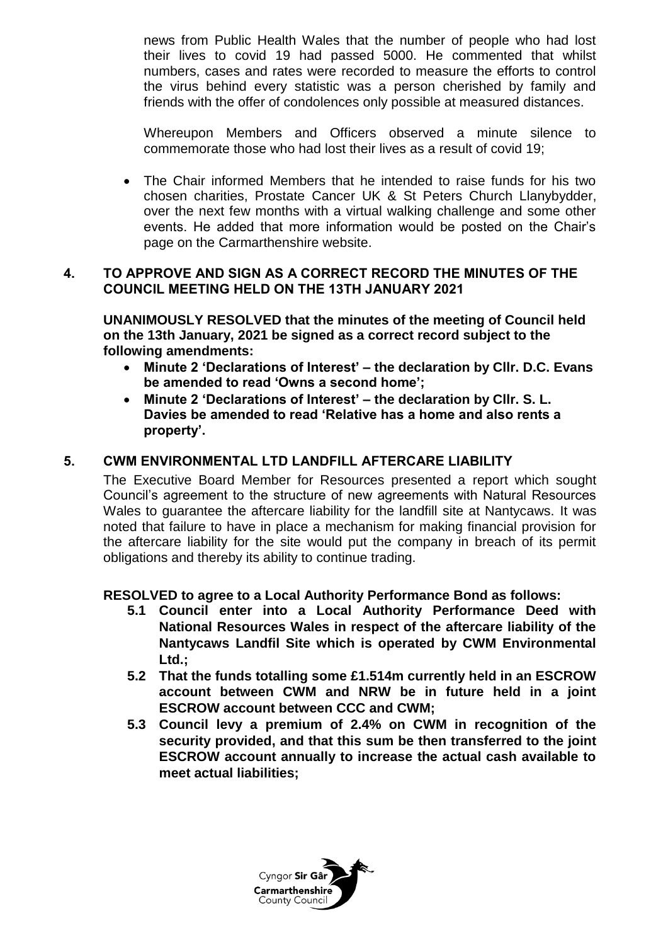news from Public Health Wales that the number of people who had lost their lives to covid 19 had passed 5000. He commented that whilst numbers, cases and rates were recorded to measure the efforts to control the virus behind every statistic was a person cherished by family and friends with the offer of condolences only possible at measured distances.

Whereupon Members and Officers observed a minute silence to commemorate those who had lost their lives as a result of covid 19;

 The Chair informed Members that he intended to raise funds for his two chosen charities, Prostate Cancer UK & St Peters Church Llanybydder, over the next few months with a virtual walking challenge and some other events. He added that more information would be posted on the Chair's page on the Carmarthenshire website.

## **4. TO APPROVE AND SIGN AS A CORRECT RECORD THE MINUTES OF THE COUNCIL MEETING HELD ON THE 13TH JANUARY 2021**

**UNANIMOUSLY RESOLVED that the minutes of the meeting of Council held on the 13th January, 2021 be signed as a correct record subject to the following amendments:**

- **Minute 2 'Declarations of Interest' – the declaration by Cllr. D.C. Evans be amended to read 'Owns a second home';**
- **Minute 2 'Declarations of Interest' – the declaration by Cllr. S. L. Davies be amended to read 'Relative has a home and also rents a property'.**

## **5. CWM ENVIRONMENTAL LTD LANDFILL AFTERCARE LIABILITY**

The Executive Board Member for Resources presented a report which sought Council's agreement to the structure of new agreements with Natural Resources Wales to guarantee the aftercare liability for the landfill site at Nantycaws. It was noted that failure to have in place a mechanism for making financial provision for the aftercare liability for the site would put the company in breach of its permit obligations and thereby its ability to continue trading.

## **RESOLVED to agree to a Local Authority Performance Bond as follows:**

- **5.1 Council enter into a Local Authority Performance Deed with National Resources Wales in respect of the aftercare liability of the Nantycaws Landfil Site which is operated by CWM Environmental Ltd.;**
- **5.2 That the funds totalling some £1.514m currently held in an ESCROW account between CWM and NRW be in future held in a joint ESCROW account between CCC and CWM;**
- **5.3 Council levy a premium of 2.4% on CWM in recognition of the security provided, and that this sum be then transferred to the joint ESCROW account annually to increase the actual cash available to meet actual liabilities;**

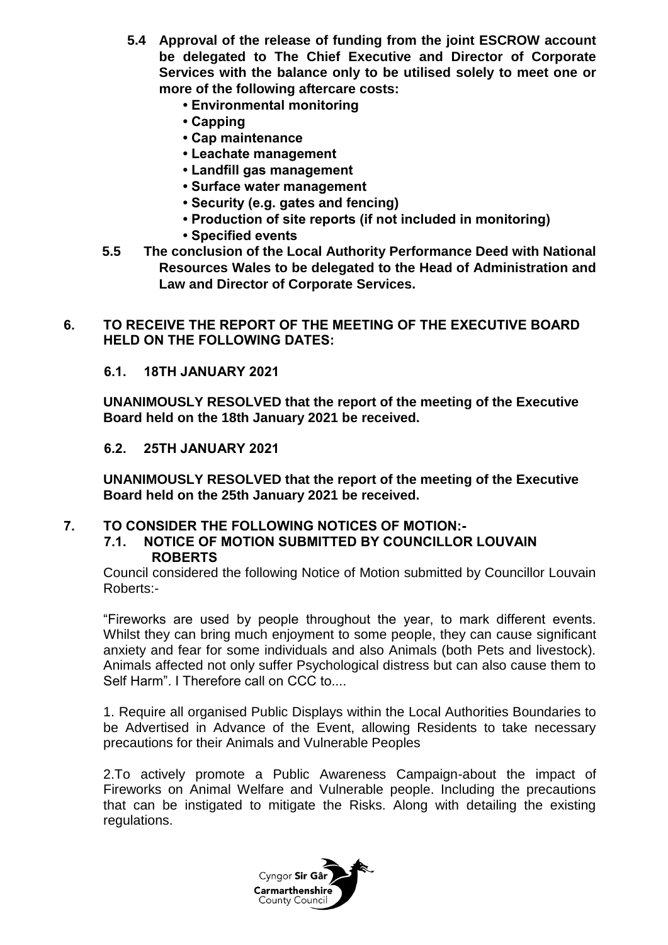- **5.4 Approval of the release of funding from the joint ESCROW account be delegated to The Chief Executive and Director of Corporate Services with the balance only to be utilised solely to meet one or more of the following aftercare costs:**
	- **Environmental monitoring**
	- **Capping**
	- **Cap maintenance**
	- **Leachate management**
	- **Landfill gas management**
	- **Surface water management**
	- **Security (e.g. gates and fencing)**
	- **Production of site reports (if not included in monitoring)**
	- **Specified events**
- **5.5 The conclusion of the Local Authority Performance Deed with National Resources Wales to be delegated to the Head of Administration and Law and Director of Corporate Services.**
- **6. TO RECEIVE THE REPORT OF THE MEETING OF THE EXECUTIVE BOARD HELD ON THE FOLLOWING DATES:**

## **6.1. 18TH JANUARY 2021**

**UNANIMOUSLY RESOLVED that the report of the meeting of the Executive Board held on the 18th January 2021 be received.**

#### **6.2. 25TH JANUARY 2021**

**UNANIMOUSLY RESOLVED that the report of the meeting of the Executive Board held on the 25th January 2021 be received.**

## **7. TO CONSIDER THE FOLLOWING NOTICES OF MOTION:-**

#### **7.1. NOTICE OF MOTION SUBMITTED BY COUNCILLOR LOUVAIN ROBERTS**

Council considered the following Notice of Motion submitted by Councillor Louvain Roberts:-

"Fireworks are used by people throughout the year, to mark different events. Whilst they can bring much enjoyment to some people, they can cause significant anxiety and fear for some individuals and also Animals (both Pets and livestock). Animals affected not only suffer Psychological distress but can also cause them to Self Harm". I Therefore call on CCC to....

1. Require all organised Public Displays within the Local Authorities Boundaries to be Advertised in Advance of the Event, allowing Residents to take necessary precautions for their Animals and Vulnerable Peoples

2.To actively promote a Public Awareness Campaign-about the impact of Fireworks on Animal Welfare and Vulnerable people. Including the precautions that can be instigated to mitigate the Risks. Along with detailing the existing regulations.

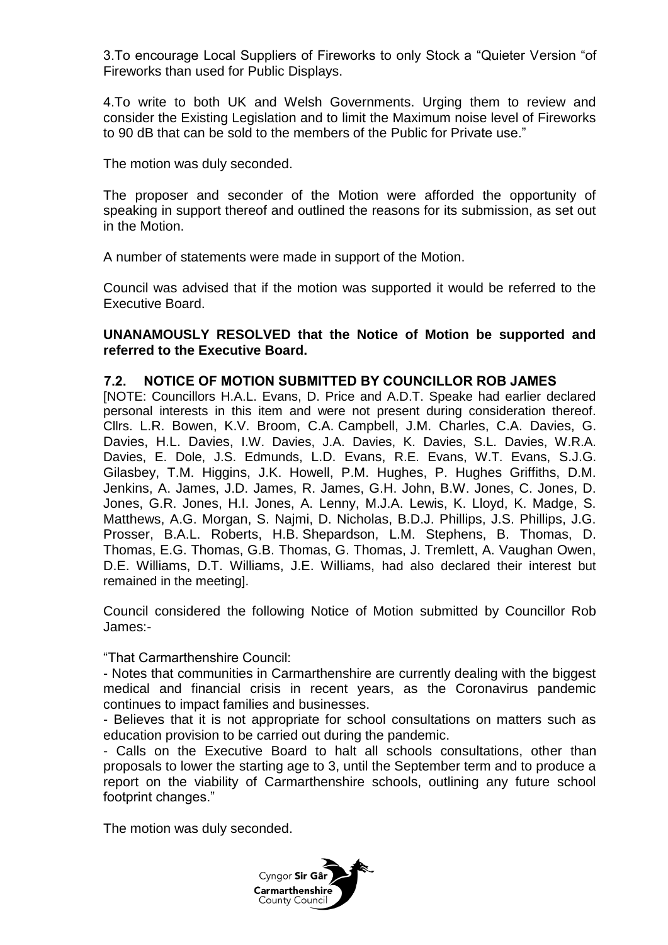3.To encourage Local Suppliers of Fireworks to only Stock a "Quieter Version "of Fireworks than used for Public Displays.

4.To write to both UK and Welsh Governments. Urging them to review and consider the Existing Legislation and to limit the Maximum noise level of Fireworks to 90 dB that can be sold to the members of the Public for Private use."

The motion was duly seconded.

The proposer and seconder of the Motion were afforded the opportunity of speaking in support thereof and outlined the reasons for its submission, as set out in the Motion.

A number of statements were made in support of the Motion.

Council was advised that if the motion was supported it would be referred to the Executive Board.

**UNANAMOUSLY RESOLVED that the Notice of Motion be supported and referred to the Executive Board.**

## **7.2. NOTICE OF MOTION SUBMITTED BY COUNCILLOR ROB JAMES**

[NOTE: Councillors H.A.L. Evans, D. Price and A.D.T. Speake had earlier declared personal interests in this item and were not present during consideration thereof. Cllrs. L.R. Bowen, K.V. Broom, C.A. Campbell, J.M. Charles, C.A. Davies, G. Davies, H.L. Davies, I.W. Davies, J.A. Davies, K. Davies, S.L. Davies, W.R.A. Davies, E. Dole, J.S. Edmunds, L.D. Evans, R.E. Evans, W.T. Evans, S.J.G. Gilasbey, T.M. Higgins, J.K. Howell, P.M. Hughes, P. Hughes Griffiths, D.M. Jenkins, A. James, J.D. James, R. James, G.H. John, B.W. Jones, C. Jones, D. Jones, G.R. Jones, H.I. Jones, A. Lenny, M.J.A. Lewis, K. Lloyd, K. Madge, S. Matthews, A.G. Morgan, S. Najmi, D. Nicholas, B.D.J. Phillips, J.S. Phillips, J.G. Prosser, B.A.L. Roberts, H.B. Shepardson, L.M. Stephens, B. Thomas, D. Thomas, E.G. Thomas, G.B. Thomas, G. Thomas, J. Tremlett, A. Vaughan Owen, D.E. Williams, D.T. Williams, J.E. Williams, had also declared their interest but remained in the meeting].

Council considered the following Notice of Motion submitted by Councillor Rob James:-

"That Carmarthenshire Council:

- Notes that communities in Carmarthenshire are currently dealing with the biggest medical and financial crisis in recent years, as the Coronavirus pandemic continues to impact families and businesses.

- Believes that it is not appropriate for school consultations on matters such as education provision to be carried out during the pandemic.

- Calls on the Executive Board to halt all schools consultations, other than proposals to lower the starting age to 3, until the September term and to produce a report on the viability of Carmarthenshire schools, outlining any future school footprint changes."

The motion was duly seconded.

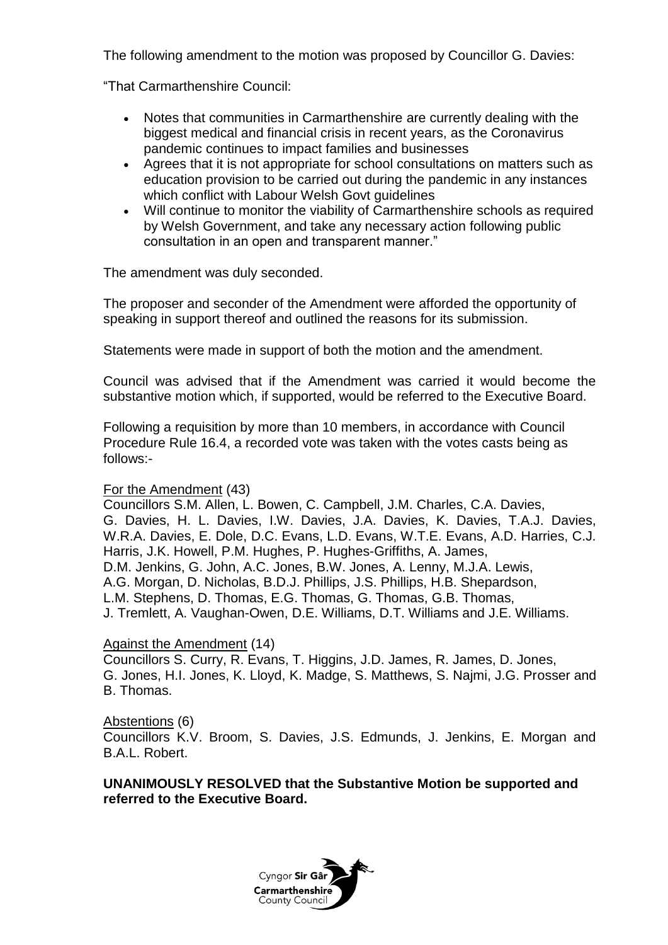The following amendment to the motion was proposed by Councillor G. Davies:

"That Carmarthenshire Council:

- Notes that communities in Carmarthenshire are currently dealing with the biggest medical and financial crisis in recent years, as the Coronavirus pandemic continues to impact families and businesses
- Agrees that it is not appropriate for school consultations on matters such as education provision to be carried out during the pandemic in any instances which conflict with Labour Welsh Govt guidelines
- Will continue to monitor the viability of Carmarthenshire schools as required by Welsh Government, and take any necessary action following public consultation in an open and transparent manner."

The amendment was duly seconded.

The proposer and seconder of the Amendment were afforded the opportunity of speaking in support thereof and outlined the reasons for its submission.

Statements were made in support of both the motion and the amendment.

Council was advised that if the Amendment was carried it would become the substantive motion which, if supported, would be referred to the Executive Board.

Following a requisition by more than 10 members, in accordance with Council Procedure Rule 16.4, a recorded vote was taken with the votes casts being as follows:-

## For the Amendment (43)

Councillors S.M. Allen, L. Bowen, C. Campbell, J.M. Charles, C.A. Davies, G. Davies, H. L. Davies, I.W. Davies, J.A. Davies, K. Davies, T.A.J. Davies, W.R.A. Davies, E. Dole, D.C. Evans, L.D. Evans, W.T.E. Evans, A.D. Harries, C.J. Harris, J.K. Howell, P.M. Hughes, P. Hughes-Griffiths, A. James, D.M. Jenkins, G. John, A.C. Jones, B.W. Jones, A. Lenny, M.J.A. Lewis, A.G. Morgan, D. Nicholas, B.D.J. Phillips, J.S. Phillips, H.B. Shepardson, L.M. Stephens, D. Thomas, E.G. Thomas, G. Thomas, G.B. Thomas, J. Tremlett, A. Vaughan-Owen, D.E. Williams, D.T. Williams and J.E. Williams.

## Against the Amendment (14)

Councillors S. Curry, R. Evans, T. Higgins, J.D. James, R. James, D. Jones, G. Jones, H.I. Jones, K. Lloyd, K. Madge, S. Matthews, S. Najmi, J.G. Prosser and B. Thomas.

#### Abstentions (6)

Councillors K.V. Broom, S. Davies, J.S. Edmunds, J. Jenkins, E. Morgan and B.A.L. Robert.

**UNANIMOUSLY RESOLVED that the Substantive Motion be supported and referred to the Executive Board.**

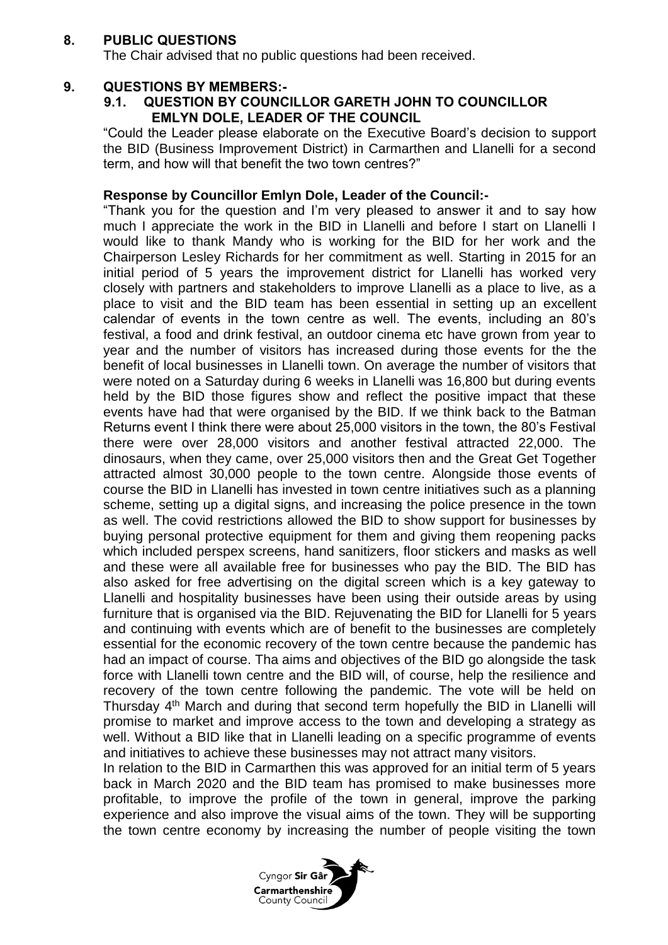## **8. PUBLIC QUESTIONS**

The Chair advised that no public questions had been received.

### **9. QUESTIONS BY MEMBERS:-**

### **9.1. QUESTION BY COUNCILLOR GARETH JOHN TO COUNCILLOR EMLYN DOLE, LEADER OF THE COUNCIL**

"Could the Leader please elaborate on the Executive Board's decision to support the BID (Business Improvement District) in Carmarthen and Llanelli for a second term, and how will that benefit the two town centres?"

#### **Response by Councillor Emlyn Dole, Leader of the Council:-**

"Thank you for the question and I'm very pleased to answer it and to say how much I appreciate the work in the BID in Llanelli and before I start on Llanelli I would like to thank Mandy who is working for the BID for her work and the Chairperson Lesley Richards for her commitment as well. Starting in 2015 for an initial period of 5 years the improvement district for Llanelli has worked very closely with partners and stakeholders to improve Llanelli as a place to live, as a place to visit and the BID team has been essential in setting up an excellent calendar of events in the town centre as well. The events, including an 80's festival, a food and drink festival, an outdoor cinema etc have grown from year to year and the number of visitors has increased during those events for the the benefit of local businesses in Llanelli town. On average the number of visitors that were noted on a Saturday during 6 weeks in Llanelli was 16,800 but during events held by the BID those figures show and reflect the positive impact that these events have had that were organised by the BID. If we think back to the Batman Returns event I think there were about 25,000 visitors in the town, the 80's Festival there were over 28,000 visitors and another festival attracted 22,000. The dinosaurs, when they came, over 25,000 visitors then and the Great Get Together attracted almost 30,000 people to the town centre. Alongside those events of course the BID in Llanelli has invested in town centre initiatives such as a planning scheme, setting up a digital signs, and increasing the police presence in the town as well. The covid restrictions allowed the BID to show support for businesses by buying personal protective equipment for them and giving them reopening packs which included perspex screens, hand sanitizers, floor stickers and masks as well and these were all available free for businesses who pay the BID. The BID has also asked for free advertising on the digital screen which is a key gateway to Llanelli and hospitality businesses have been using their outside areas by using furniture that is organised via the BID. Rejuvenating the BID for Llanelli for 5 years and continuing with events which are of benefit to the businesses are completely essential for the economic recovery of the town centre because the pandemic has had an impact of course. Tha aims and objectives of the BID go alongside the task force with Llanelli town centre and the BID will, of course, help the resilience and recovery of the town centre following the pandemic. The vote will be held on Thursday 4<sup>th</sup> March and during that second term hopefully the BID in Llanelli will promise to market and improve access to the town and developing a strategy as well. Without a BID like that in Llanelli leading on a specific programme of events and initiatives to achieve these businesses may not attract many visitors.

In relation to the BID in Carmarthen this was approved for an initial term of 5 years back in March 2020 and the BID team has promised to make businesses more profitable, to improve the profile of the town in general, improve the parking experience and also improve the visual aims of the town. They will be supporting the town centre economy by increasing the number of people visiting the town